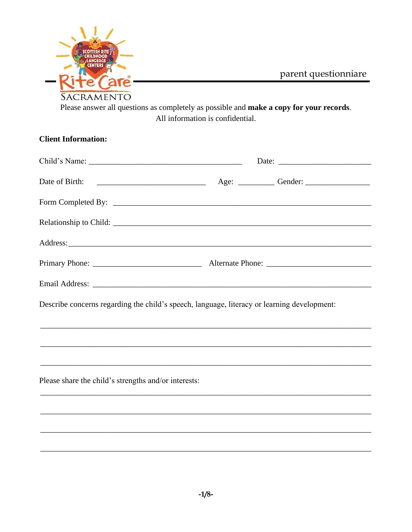

parent questionniare

Please answer all questions as completely as possible and make a copy for your records. All information is confidential.

| <b>Client Information:</b>                                                                                                                                                                                                     |  |
|--------------------------------------------------------------------------------------------------------------------------------------------------------------------------------------------------------------------------------|--|
|                                                                                                                                                                                                                                |  |
| Date of Birth:                                                                                                                                                                                                                 |  |
|                                                                                                                                                                                                                                |  |
|                                                                                                                                                                                                                                |  |
|                                                                                                                                                                                                                                |  |
|                                                                                                                                                                                                                                |  |
| Email Address: Note and Address and Address and Address and Address and Address and Address and Address and Address and Address and Address and Address and Address and Address and Address and Address and Address and Addres |  |
| Describe concerns regarding the child's speech, language, literacy or learning development:                                                                                                                                    |  |
|                                                                                                                                                                                                                                |  |
|                                                                                                                                                                                                                                |  |
| Please share the child's strengths and/or interests:                                                                                                                                                                           |  |
|                                                                                                                                                                                                                                |  |
|                                                                                                                                                                                                                                |  |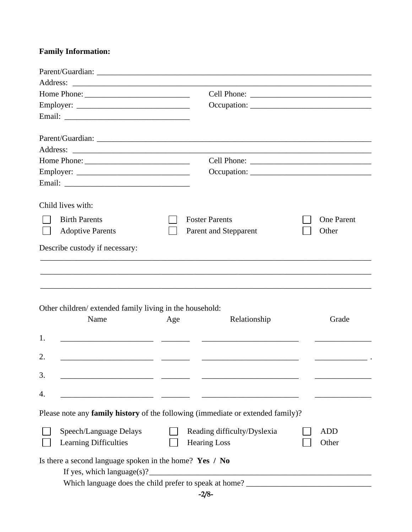## **Family Information:**

|    | Home Phone:                                              |     |                                                                                   |                   |
|----|----------------------------------------------------------|-----|-----------------------------------------------------------------------------------|-------------------|
|    | Employer:                                                |     |                                                                                   |                   |
|    |                                                          |     |                                                                                   |                   |
|    |                                                          |     |                                                                                   |                   |
|    |                                                          |     |                                                                                   |                   |
|    |                                                          |     |                                                                                   |                   |
|    |                                                          |     |                                                                                   |                   |
|    |                                                          |     |                                                                                   |                   |
|    | Child lives with:                                        |     |                                                                                   |                   |
|    | <b>Birth Parents</b>                                     |     | <b>Foster Parents</b>                                                             | <b>One Parent</b> |
|    | <b>Adoptive Parents</b>                                  |     | Parent and Stepparent                                                             | Other             |
|    | Describe custody if necessary:                           |     |                                                                                   |                   |
|    |                                                          |     |                                                                                   |                   |
|    |                                                          |     |                                                                                   |                   |
|    |                                                          |     |                                                                                   |                   |
|    |                                                          |     |                                                                                   |                   |
|    | Other children/ extended family living in the household: |     |                                                                                   |                   |
|    | Name                                                     | Age | Relationship                                                                      | Grade             |
|    |                                                          |     |                                                                                   |                   |
| 1. |                                                          |     |                                                                                   |                   |
| 2. |                                                          |     |                                                                                   |                   |
| 3. |                                                          |     |                                                                                   |                   |
| 4. |                                                          |     |                                                                                   |                   |
|    |                                                          |     |                                                                                   |                   |
|    |                                                          |     | Please note any family history of the following (immediate or extended family)?   |                   |
|    | Speech/Language Delays                                   |     | Reading difficulty/Dyslexia                                                       | <b>ADD</b>        |
|    | Learning Difficulties                                    |     | <b>Hearing Loss</b>                                                               | Other             |
|    | Is there a second language spoken in the home? Yes / No  |     | If yes, which $language(s)$ ?                                                     |                   |
|    |                                                          |     | Which language does the child prefer to speak at home? __________________________ |                   |
|    |                                                          |     |                                                                                   |                   |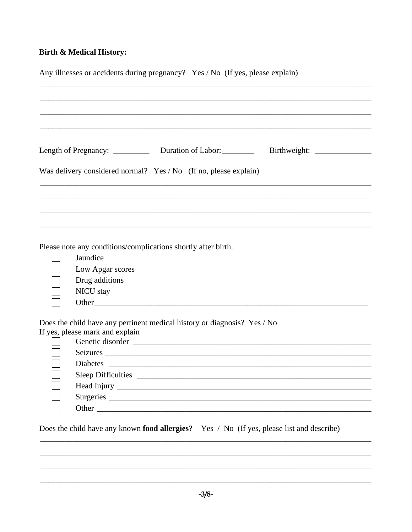## **Birth & Medical History:**

| Any illnesses or accidents during pregnancy? Yes / No (If yes, please explain)                                                                                          |
|-------------------------------------------------------------------------------------------------------------------------------------------------------------------------|
| Length of Pregnancy: _____________ Duration of Labor: ___________ Birthweight: ____________________<br>Was delivery considered normal? Yes / No (If no, please explain) |
|                                                                                                                                                                         |
| Please note any conditions/complications shortly after birth.<br>Jaundice<br>Low Apgar scores<br>Drug additions<br>NICU stay                                            |
| Does the child have any pertinent medical history or diagnosis? Yes / No<br>If yes, please mark and explain<br>Genetic disorder<br><u> </u><br>Seizures<br>Diabetes     |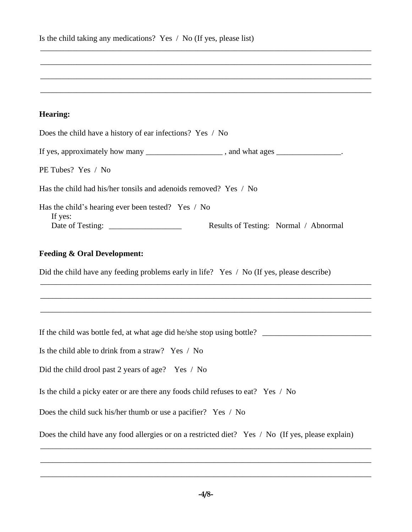| Is the child taking any medications? Yes $\land$ No (If yes, please list) |  |
|---------------------------------------------------------------------------|--|
|---------------------------------------------------------------------------|--|

## **Hearing:**

| Does the child have a history of ear infections? Yes / No                                              |
|--------------------------------------------------------------------------------------------------------|
| If yes, approximately how many _____________________, and what ages ______________.                    |
| PE Tubes? Yes / No                                                                                     |
| Has the child had his/her tonsils and adenoids removed? Yes / No                                       |
| Has the child's hearing ever been tested? Yes / No<br>If yes:<br>Results of Testing: Normal / Abnormal |
| <b>Feeding &amp; Oral Development:</b>                                                                 |
| Did the child have any feeding problems early in life? Yes / No (If yes, please describe)              |
|                                                                                                        |
|                                                                                                        |
| If the child was bottle fed, at what age did he/she stop using bottle?                                 |
| Is the child able to drink from a straw? Yes / No                                                      |
| Did the child drool past 2 years of age? Yes / No                                                      |
| Is the child a picky eater or are there any foods child refuses to eat? Yes / No                       |
| Does the child suck his/her thumb or use a pacifier? Yes / No                                          |
| Does the child have any food allergies or on a restricted diet? Yes / No (If yes, please explain)      |

\_\_\_\_\_\_\_\_\_\_\_\_\_\_\_\_\_\_\_\_\_\_\_\_\_\_\_\_\_\_\_\_\_\_\_\_\_\_\_\_\_\_\_\_\_\_\_\_\_\_\_\_\_\_\_\_\_\_\_\_\_\_\_\_\_\_\_\_\_\_\_\_\_\_\_\_\_\_\_\_\_\_

\_\_\_\_\_\_\_\_\_\_\_\_\_\_\_\_\_\_\_\_\_\_\_\_\_\_\_\_\_\_\_\_\_\_\_\_\_\_\_\_\_\_\_\_\_\_\_\_\_\_\_\_\_\_\_\_\_\_\_\_\_\_\_\_\_\_\_\_\_\_\_\_\_\_\_\_\_\_\_\_\_\_

\_\_\_\_\_\_\_\_\_\_\_\_\_\_\_\_\_\_\_\_\_\_\_\_\_\_\_\_\_\_\_\_\_\_\_\_\_\_\_\_\_\_\_\_\_\_\_\_\_\_\_\_\_\_\_\_\_\_\_\_\_\_\_\_\_\_\_\_\_\_\_\_\_\_\_\_\_\_\_\_\_\_

\_\_\_\_\_\_\_\_\_\_\_\_\_\_\_\_\_\_\_\_\_\_\_\_\_\_\_\_\_\_\_\_\_\_\_\_\_\_\_\_\_\_\_\_\_\_\_\_\_\_\_\_\_\_\_\_\_\_\_\_\_\_\_\_\_\_\_\_\_\_\_\_\_\_\_\_\_\_\_\_\_\_

\_\_\_\_\_\_\_\_\_\_\_\_\_\_\_\_\_\_\_\_\_\_\_\_\_\_\_\_\_\_\_\_\_\_\_\_\_\_\_\_\_\_\_\_\_\_\_\_\_\_\_\_\_\_\_\_\_\_\_\_\_\_\_\_\_\_\_\_\_\_\_\_\_\_\_\_\_\_\_\_\_\_

\_\_\_\_\_\_\_\_\_\_\_\_\_\_\_\_\_\_\_\_\_\_\_\_\_\_\_\_\_\_\_\_\_\_\_\_\_\_\_\_\_\_\_\_\_\_\_\_\_\_\_\_\_\_\_\_\_\_\_\_\_\_\_\_\_\_\_\_\_\_\_\_\_\_\_\_\_\_\_\_\_\_

\_\_\_\_\_\_\_\_\_\_\_\_\_\_\_\_\_\_\_\_\_\_\_\_\_\_\_\_\_\_\_\_\_\_\_\_\_\_\_\_\_\_\_\_\_\_\_\_\_\_\_\_\_\_\_\_\_\_\_\_\_\_\_\_\_\_\_\_\_\_\_\_\_\_\_\_\_\_\_\_\_\_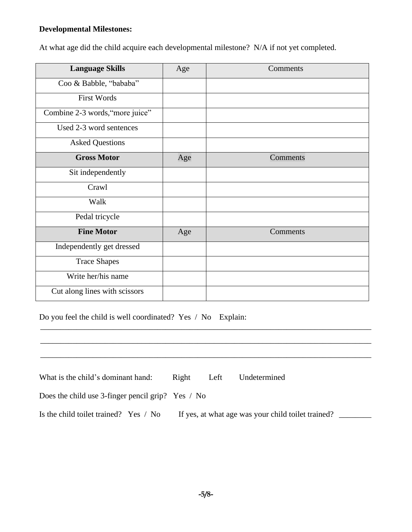### **Developmental Milestones:**

At what age did the child acquire each developmental milestone? N/A if not yet completed.

| <b>Language Skills</b>          | Age | Comments |
|---------------------------------|-----|----------|
| Coo & Babble, "bababa"          |     |          |
| <b>First Words</b>              |     |          |
| Combine 2-3 words, "more juice" |     |          |
| Used 2-3 word sentences         |     |          |
| <b>Asked Questions</b>          |     |          |
| <b>Gross Motor</b>              | Age | Comments |
| Sit independently               |     |          |
| Crawl                           |     |          |
| Walk                            |     |          |
| Pedal tricycle                  |     |          |
| <b>Fine Motor</b>               | Age | Comments |
| Independently get dressed       |     |          |
| <b>Trace Shapes</b>             |     |          |
| Write her/his name              |     |          |
| Cut along lines with scissors   |     |          |

Do you feel the child is well coordinated? Yes / No Explain:

| What is the child's dominant hand:                | Right | Left | Undetermined                                       |  |
|---------------------------------------------------|-------|------|----------------------------------------------------|--|
| Does the child use 3-finger pencil grip? Yes / No |       |      |                                                    |  |
| Is the child toilet trained? Yes / No             |       |      | If yes, at what age was your child toilet trained? |  |

\_\_\_\_\_\_\_\_\_\_\_\_\_\_\_\_\_\_\_\_\_\_\_\_\_\_\_\_\_\_\_\_\_\_\_\_\_\_\_\_\_\_\_\_\_\_\_\_\_\_\_\_\_\_\_\_\_\_\_\_\_\_\_\_\_\_\_\_\_\_\_\_\_\_\_\_\_\_\_\_\_\_

\_\_\_\_\_\_\_\_\_\_\_\_\_\_\_\_\_\_\_\_\_\_\_\_\_\_\_\_\_\_\_\_\_\_\_\_\_\_\_\_\_\_\_\_\_\_\_\_\_\_\_\_\_\_\_\_\_\_\_\_\_\_\_\_\_\_\_\_\_\_\_\_\_\_\_\_\_\_\_\_\_\_

\_\_\_\_\_\_\_\_\_\_\_\_\_\_\_\_\_\_\_\_\_\_\_\_\_\_\_\_\_\_\_\_\_\_\_\_\_\_\_\_\_\_\_\_\_\_\_\_\_\_\_\_\_\_\_\_\_\_\_\_\_\_\_\_\_\_\_\_\_\_\_\_\_\_\_\_\_\_\_\_\_\_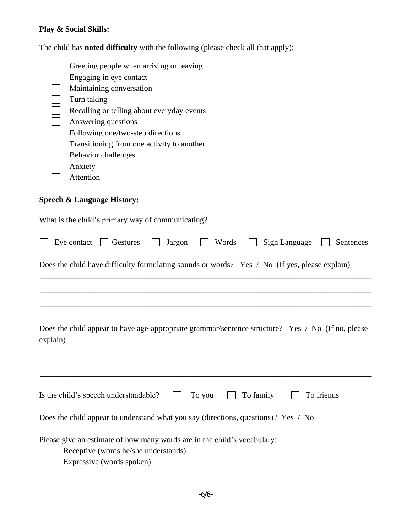# **Play & Social Skills:**

The child has **noted difficulty** with the following (please check all that apply):

| Turn taking<br>Anxiety<br>Attention   | Greeting people when arriving or leaving<br>Engaging in eye contact<br>Maintaining conversation<br>Recalling or telling about everyday events<br>Answering questions<br>Following one/two-step directions<br>Transitioning from one activity to another<br>Behavior challenges |
|---------------------------------------|--------------------------------------------------------------------------------------------------------------------------------------------------------------------------------------------------------------------------------------------------------------------------------|
| <b>Speech &amp; Language History:</b> |                                                                                                                                                                                                                                                                                |
|                                       | What is the child's primary way of communicating?                                                                                                                                                                                                                              |
| Eye contact                           | Words<br>Sign Language<br>$\vert$ Gestures<br>Jargon<br>Sentences                                                                                                                                                                                                              |
|                                       | Does the child have difficulty formulating sounds or words? Yes / No (If yes, please explain)                                                                                                                                                                                  |
|                                       |                                                                                                                                                                                                                                                                                |
|                                       |                                                                                                                                                                                                                                                                                |
| explain)                              | Does the child appear to have age-appropriate grammar/sentence structure? Yes / No (If no, please                                                                                                                                                                              |
|                                       |                                                                                                                                                                                                                                                                                |
|                                       | To family<br>Is the child's speech understandable?<br>To friends<br>To you                                                                                                                                                                                                     |
|                                       | Does the child appear to understand what you say (directions, questions)? Yes / No                                                                                                                                                                                             |
|                                       | Please give an estimate of how many words are in the child's vocabulary:                                                                                                                                                                                                       |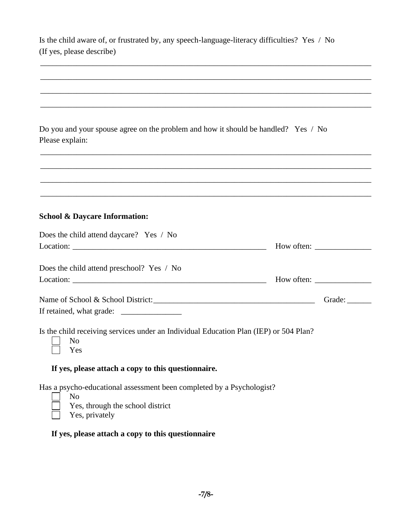| Is the child aware of, or frustrated by, any speech-language-literacy difficulties? Yes / No |  |  |
|----------------------------------------------------------------------------------------------|--|--|
| (If yes, please describe)                                                                    |  |  |

\_\_\_\_\_\_\_\_\_\_\_\_\_\_\_\_\_\_\_\_\_\_\_\_\_\_\_\_\_\_\_\_\_\_\_\_\_\_\_\_\_\_\_\_\_\_\_\_\_\_\_\_\_\_\_\_\_\_\_\_\_\_\_\_\_\_\_\_\_\_\_\_\_\_\_\_\_\_\_\_\_\_

| Do you and your spouse agree on the problem and how it should be handled? Yes / No<br>Please explain:                                         |                        |
|-----------------------------------------------------------------------------------------------------------------------------------------------|------------------------|
|                                                                                                                                               |                        |
| <b>School &amp; Daycare Information:</b>                                                                                                      |                        |
| Does the child attend daycare? Yes / No                                                                                                       |                        |
|                                                                                                                                               |                        |
| Does the child attend preschool? Yes / No                                                                                                     |                        |
|                                                                                                                                               | Grade: $\qquad \qquad$ |
|                                                                                                                                               |                        |
| Is the child receiving services under an Individual Education Plan (IEP) or 504 Plan?<br>N <sub>o</sub><br>Yes                                |                        |
| If yes, please attach a copy to this questionnaire.                                                                                           |                        |
| Has a psycho-educational assessment been completed by a Psychologist?<br>N <sub>o</sub><br>Yes, through the school district<br>Yes, privately |                        |
| If yes, please attach a copy to this questionnaire                                                                                            |                        |